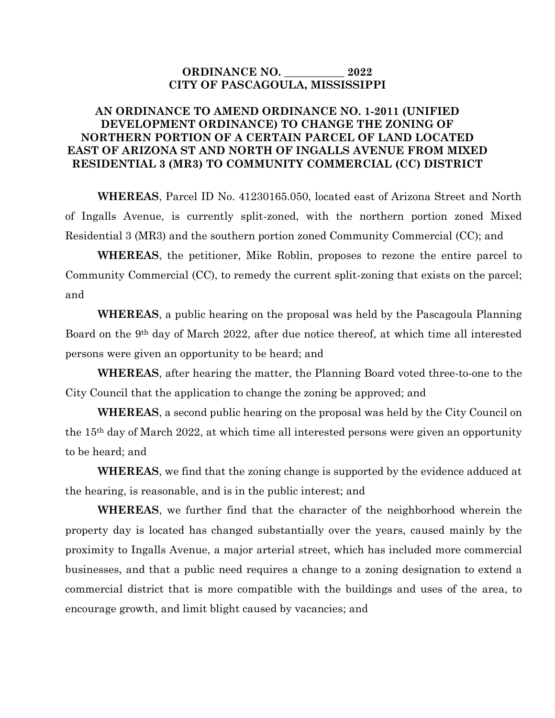## **ORDINANCE NO. \_\_\_\_\_\_\_\_\_\_\_ 2022 CITY OF PASCAGOULA, MISSISSIPPI**

## **AN ORDINANCE TO AMEND ORDINANCE NO. 1-2011 (UNIFIED DEVELOPMENT ORDINANCE) TO CHANGE THE ZONING OF NORTHERN PORTION OF A CERTAIN PARCEL OF LAND LOCATED EAST OF ARIZONA ST AND NORTH OF INGALLS AVENUE FROM MIXED RESIDENTIAL 3 (MR3) TO COMMUNITY COMMERCIAL (CC) DISTRICT**

**WHEREAS**, Parcel ID No. 41230165.050, located east of Arizona Street and North of Ingalls Avenue, is currently split-zoned, with the northern portion zoned Mixed Residential 3 (MR3) and the southern portion zoned Community Commercial (CC); and

**WHEREAS**, the petitioner, Mike Roblin, proposes to rezone the entire parcel to Community Commercial (CC), to remedy the current split-zoning that exists on the parcel; and

**WHEREAS**, a public hearing on the proposal was held by the Pascagoula Planning Board on the 9th day of March 2022, after due notice thereof, at which time all interested persons were given an opportunity to be heard; and

**WHEREAS**, after hearing the matter, the Planning Board voted three-to-one to the City Council that the application to change the zoning be approved; and

**WHEREAS**, a second public hearing on the proposal was held by the City Council on the 15th day of March 2022, at which time all interested persons were given an opportunity to be heard; and

**WHEREAS**, we find that the zoning change is supported by the evidence adduced at the hearing, is reasonable, and is in the public interest; and

**WHEREAS**, we further find that the character of the neighborhood wherein the property day is located has changed substantially over the years, caused mainly by the proximity to Ingalls Avenue, a major arterial street, which has included more commercial businesses, and that a public need requires a change to a zoning designation to extend a commercial district that is more compatible with the buildings and uses of the area, to encourage growth, and limit blight caused by vacancies; and